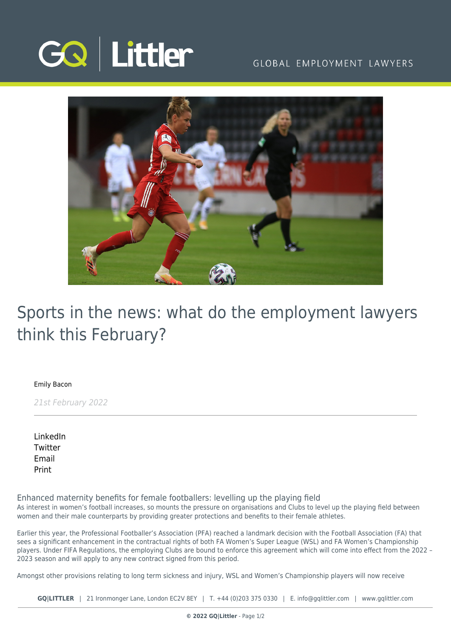

### GLOBAL EMPLOYMENT LAWYERS



# Sports in the news: what do the employment lawyers think this February?

[Emily Bacon](https://www.gqlittler.com/about-us/the-team/emily-bacon)

21st February 2022

[LinkedIn](https://www.linkedin.com/shareArticle?mini=true&url=https%3A%2F%2Fwww.gqlittler.com%2Fresources%2Fnews-and-views%2Fsports-in-the-news-what-do-the-employment-lawyers-think-this-february.htm%3Funlock%3Dtrue&title=Sports+in+the+news%3A+what+do+the+employment+lawyers+think+this+February%3F&summary=As+interest+in+women%E2%80%99s+football+increases%2C+so+mounts+the+pressure+on+organisations+and+Clubs+to+level+up+the+playing+field+between+women+and+their+male+counterparts+by+providing+greater+protections+and+benefits+to+their+female+athletes.&source=GQ+%7C+Littler) **[Twitter](https://twitter.com/share?text=Sports+in+the+news%3A+what+do+the+employment+lawyers+think+this+February%3F&url=https%3A%2F%2Fwww.gqlittler.com%2Fresources%2Fnews-and-views%2Fsports-in-the-news-what-do-the-employment-lawyers-think-this-february.htm&hashtags=)** [Email](mailto:?subject=Sports in the news: what do the employment lawyers think this February?&body=I) [Print](https://www.bg-pdf.co.uk/_GQ/page.php?M=6148523063484d364c793933643363755a33467361585230624756794c6d4e76625339795a584e7664584a6a5a584d76626d563363793168626d5174646d6c6c64334d7663334276636e527a4c576c754c58526f5a5331755a58647a4c58646f595851745a4738746447686c4c575674634778766557316c626e517462474633655756796379313061476c756179313061476c7a4c575a6c596e4a3159584a354c6d683062534e4149314e7762334a30637942706269423061475567626d5633637a6f67643268686443426b62794230614755675a573177624739356257567564434273595864355a584a7a4948526f615735724948526f61584d67526d5669636e5668636e6b2f4930416a63334276636e527a4c576c754c58526f5a5331755a58647a4c58646f595851745a4738746447686c4c575674634778766557316c626e517462474633655756796379313061476c756179313061476c7a4c575a6c596e4a3159584a35)

Enhanced maternity benefits for female footballers: levelling up the playing field

As interest in women's football increases, so mounts the pressure on organisations and Clubs to level up the playing field between women and their male counterparts by providing greater protections and benefits to their female athletes.

Earlier this year, the Professional Footballer's Association (PFA) reached a landmark decision with the Football Association (FA) that sees a significant enhancement in the contractual rights of both FA Women's Super League (WSL) and FA Women's Championship players. Under FIFA Regulations, the employing Clubs are bound to enforce this agreement which will come into effect from the 2022 – 2023 season and will apply to any new contract signed from this period.

Amongst other provisions relating to long term sickness and injury, WSL and Women's Championship players will now receive

**GQ|LITTLER** | 21 Ironmonger Lane, London EC2V 8EY | T. [+44 \(0\)203 375 0330](https://www.bg-pdf.co.uk/_GQ/tel:+442033750330) | E. [info@gqlittler.com](mailto:info@gqlittler.com) | [www.gqlittler.com](https://www.gqlittler.com)